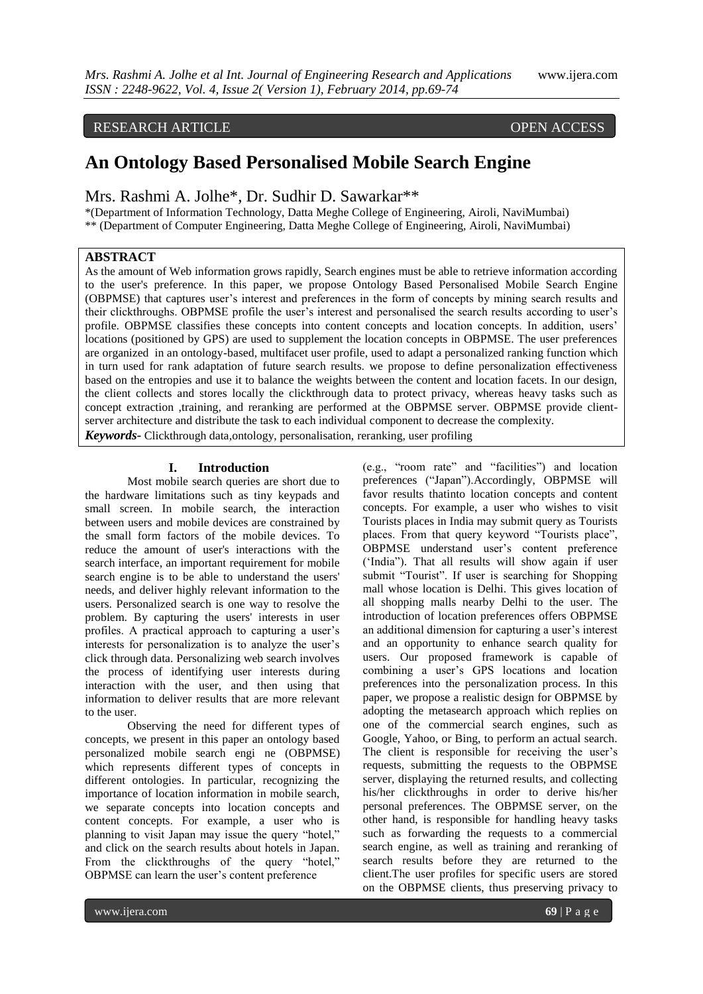# RESEARCH ARTICLE OPEN ACCESS

# **An Ontology Based Personalised Mobile Search Engine**

Mrs. Rashmi A. Jolhe\*, Dr. Sudhir D. Sawarkar\*\*

\*(Department of Information Technology, Datta Meghe College of Engineering, Airoli, NaviMumbai) \*\* (Department of Computer Engineering, Datta Meghe College of Engineering, Airoli, NaviMumbai)

# **ABSTRACT**

As the amount of Web information grows rapidly, Search engines must be able to retrieve information according to the user's preference. In this paper, we propose Ontology Based Personalised Mobile Search Engine (OBPMSE) that captures user"s interest and preferences in the form of concepts by mining search results and their clickthroughs. OBPMSE profile the user"s interest and personalised the search results according to user"s profile. OBPMSE classifies these concepts into content concepts and location concepts. In addition, users" locations (positioned by GPS) are used to supplement the location concepts in OBPMSE. The user preferences are organized in an ontology-based, multifacet user profile, used to adapt a personalized ranking function which in turn used for rank adaptation of future search results. we propose to define personalization effectiveness based on the entropies and use it to balance the weights between the content and location facets. In our design, the client collects and stores locally the clickthrough data to protect privacy, whereas heavy tasks such as concept extraction ,training, and reranking are performed at the OBPMSE server. OBPMSE provide clientserver architecture and distribute the task to each individual component to decrease the complexity. *Keywords-* Clickthrough data,ontology, personalisation, reranking, user profiling

### **I. Introduction**

Most mobile search queries are short due to the hardware limitations such as tiny keypads and small screen. In mobile search, the interaction between users and mobile devices are constrained by the small form factors of the mobile devices. To reduce the amount of user's interactions with the search interface, an important requirement for mobile search engine is to be able to understand the users' needs, and deliver highly relevant information to the users. Personalized search is one way to resolve the problem. By capturing the users' interests in user profiles. A practical approach to capturing a user's interests for personalization is to analyze the user"s click through data. Personalizing web search involves the process of identifying user interests during interaction with the user, and then using that information to deliver results that are more relevant to the user.

Observing the need for different types of concepts, we present in this paper an ontology based personalized mobile search engi ne (OBPMSE) which represents different types of concepts in different ontologies. In particular, recognizing the importance of location information in mobile search, we separate concepts into location concepts and content concepts. For example, a user who is planning to visit Japan may issue the query "hotel," and click on the search results about hotels in Japan. From the clickthroughs of the query "hotel," OBPMSE can learn the user"s content preference

(e.g., "room rate" and "facilities") and location preferences ("Japan").Accordingly, OBPMSE will favor results thatinto location concepts and content concepts. For example, a user who wishes to visit Tourists places in India may submit query as Tourists places. From that query keyword "Tourists place", OBPMSE understand user's content preference ("India"). That all results will show again if user submit "Tourist". If user is searching for Shopping mall whose location is Delhi. This gives location of all shopping malls nearby Delhi to the user. The introduction of location preferences offers OBPMSE an additional dimension for capturing a user's interest and an opportunity to enhance search quality for users. Our proposed framework is capable of combining a user"s GPS locations and location preferences into the personalization process. In this paper, we propose a realistic design for OBPMSE by adopting the metasearch approach which replies on one of the commercial search engines, such as Google, Yahoo, or Bing, to perform an actual search. The client is responsible for receiving the user's requests, submitting the requests to the OBPMSE server, displaying the returned results, and collecting his/her clickthroughs in order to derive his/her personal preferences. The OBPMSE server, on the other hand, is responsible for handling heavy tasks such as forwarding the requests to a commercial search engine, as well as training and reranking of search results before they are returned to the client.The user profiles for specific users are stored on the OBPMSE clients, thus preserving privacy to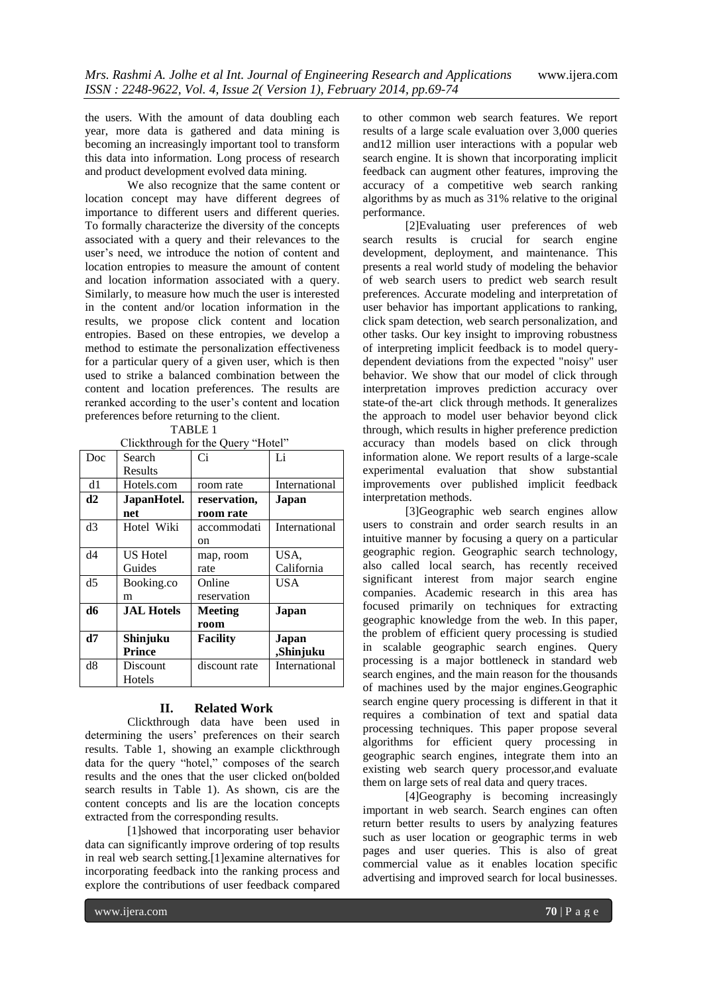the users. With the amount of data doubling each year, more data is gathered and data mining is becoming an increasingly important tool to transform this data into information. Long process of research and product development evolved data mining.

We also recognize that the same content or location concept may have different degrees of importance to different users and different queries. To formally characterize the diversity of the concepts associated with a query and their relevances to the user's need, we introduce the notion of content and location entropies to measure the amount of content and location information associated with a query. Similarly, to measure how much the user is interested in the content and/or location information in the results, we propose click content and location entropies. Based on these entropies, we develop a method to estimate the personalization effectiveness for a particular query of a given user, which is then used to strike a balanced combination between the content and location preferences. The results are reranked according to the user"s content and location preferences before returning to the client.

Clickthrough for the Query "Hotel"

| $\epsilon$ and $\epsilon$ and $\epsilon$ and $\epsilon$ |                   |                 |               |
|---------------------------------------------------------|-------------------|-----------------|---------------|
| Doc                                                     | Search            | $\overline{C}$  | Li            |
|                                                         | Results           |                 |               |
| d1                                                      | Hotels.com        | room rate       | International |
| d2                                                      | JapanHotel.       | reservation,    | Japan         |
|                                                         | net               | room rate       |               |
| d3                                                      | Hotel Wiki        | accommodati     | International |
|                                                         |                   | on              |               |
| d4                                                      | <b>US Hotel</b>   | map, room       | USA,          |
|                                                         | Guides            | rate            | California    |
| d <sub>5</sub>                                          | Booking.co        | Online          | USA           |
|                                                         | m                 | reservation     |               |
| d6                                                      | <b>JAL Hotels</b> | <b>Meeting</b>  | Japan         |
|                                                         |                   | room            |               |
| d7                                                      | Shinjuku          | <b>Facility</b> | Japan         |
|                                                         | <b>Prince</b>     |                 | ,Shinjuku     |
| d8                                                      | Discount          | discount rate   | International |
|                                                         | Hotels            |                 |               |

# **II. Related Work**

Clickthrough data have been used in determining the users' preferences on their search results. Table 1, showing an example clickthrough data for the query "hotel," composes of the search results and the ones that the user clicked on(bolded search results in Table 1). As shown, cis are the content concepts and lis are the location concepts extracted from the corresponding results.

[1]showed that incorporating user behavior data can significantly improve ordering of top results in real web search setting.[1]examine alternatives for incorporating feedback into the ranking process and explore the contributions of user feedback compared to other common web search features. We report results of a large scale evaluation over 3,000 queries and12 million user interactions with a popular web search engine. It is shown that incorporating implicit feedback can augment other features, improving the accuracy of a competitive web search ranking algorithms by as much as 31% relative to the original performance.

[2]Evaluating user preferences of web search results is crucial for search engine development, deployment, and maintenance. This presents a real world study of modeling the behavior of web search users to predict web search result preferences. Accurate modeling and interpretation of user behavior has important applications to ranking, click spam detection, web search personalization, and other tasks. Our key insight to improving robustness of interpreting implicit feedback is to model querydependent deviations from the expected "noisy" user behavior. We show that our model of click through interpretation improves prediction accuracy over state-of the-art click through methods. It generalizes the approach to model user behavior beyond click through, which results in higher preference prediction accuracy than models based on click through information alone. We report results of a large-scale experimental evaluation that show substantial improvements over published implicit feedback interpretation methods.

[3]Geographic web search engines allow users to constrain and order search results in an intuitive manner by focusing a query on a particular geographic region. Geographic search technology, also called local search, has recently received significant interest from major search engine companies. Academic research in this area has focused primarily on techniques for extracting geographic knowledge from the web. In this paper, the problem of efficient query processing is studied in scalable geographic search engines. Query processing is a major bottleneck in standard web search engines, and the main reason for the thousands of machines used by the major engines.Geographic search engine query processing is different in that it requires a combination of text and spatial data processing techniques. This paper propose several algorithms for efficient query processing in geographic search engines, integrate them into an existing web search query processor,and evaluate them on large sets of real data and query traces.

[4]Geography is becoming increasingly important in web search. Search engines can often return better results to users by analyzing features such as user location or geographic terms in web pages and user queries. This is also of great commercial value as it enables location specific advertising and improved search for local businesses.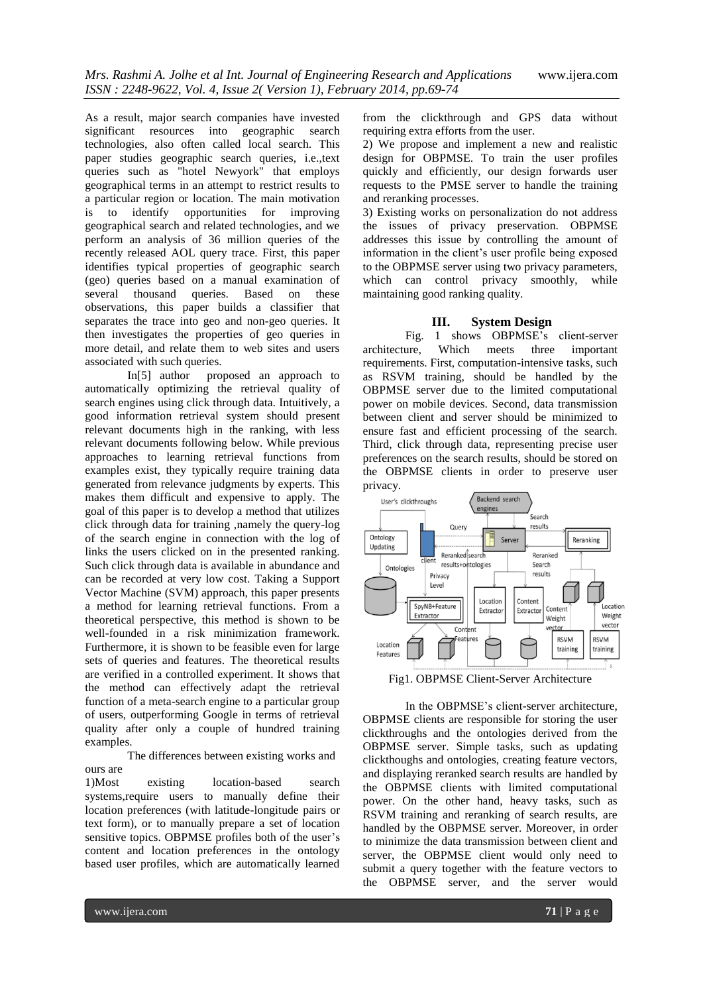As a result, major search companies have invested significant resources into geographic search technologies, also often called local search. This paper studies geographic search queries, i.e.,text queries such as "hotel Newyork" that employs geographical terms in an attempt to restrict results to a particular region or location. The main motivation is to identify opportunities for improving geographical search and related technologies, and we perform an analysis of 36 million queries of the recently released AOL query trace. First, this paper identifies typical properties of geographic search (geo) queries based on a manual examination of several thousand queries. Based on these observations, this paper builds a classifier that separates the trace into geo and non-geo queries. It then investigates the properties of geo queries in more detail, and relate them to web sites and users associated with such queries.

In[5] author proposed an approach to automatically optimizing the retrieval quality of search engines using click through data. Intuitively, a good information retrieval system should present relevant documents high in the ranking, with less relevant documents following below. While previous approaches to learning retrieval functions from examples exist, they typically require training data generated from relevance judgments by experts. This makes them difficult and expensive to apply. The goal of this paper is to develop a method that utilizes click through data for training ,namely the query-log of the search engine in connection with the log of links the users clicked on in the presented ranking. Such click through data is available in abundance and can be recorded at very low cost. Taking a Support Vector Machine (SVM) approach, this paper presents a method for learning retrieval functions. From a theoretical perspective, this method is shown to be well-founded in a risk minimization framework. Furthermore, it is shown to be feasible even for large sets of queries and features. The theoretical results are verified in a controlled experiment. It shows that the method can effectively adapt the retrieval function of a meta-search engine to a particular group of users, outperforming Google in terms of retrieval quality after only a couple of hundred training examples.

The differences between existing works and ours are

1)Most existing location-based search systems,require users to manually define their location preferences (with latitude-longitude pairs or text form), or to manually prepare a set of location sensitive topics. OBPMSE profiles both of the user's content and location preferences in the ontology based user profiles, which are automatically learned

from the clickthrough and GPS data without requiring extra efforts from the user.

2) We propose and implement a new and realistic design for OBPMSE. To train the user profiles quickly and efficiently, our design forwards user requests to the PMSE server to handle the training and reranking processes.

3) Existing works on personalization do not address the issues of privacy preservation. OBPMSE addresses this issue by controlling the amount of information in the client's user profile being exposed to the OBPMSE server using two privacy parameters, which can control privacy smoothly, while maintaining good ranking quality.

# **III. System Design**

Fig. 1 shows OBPMSE's client-server architecture, Which meets three important requirements. First, computation-intensive tasks, such as RSVM training, should be handled by the OBPMSE server due to the limited computational power on mobile devices. Second, data transmission between client and server should be minimized to ensure fast and efficient processing of the search. Third, click through data, representing precise user preferences on the search results, should be stored on the OBPMSE clients in order to preserve user privacy.



Fig1. OBPMSE Client-Server Architecture

In the OBPMSE"s client-server architecture, OBPMSE clients are responsible for storing the user clickthroughs and the ontologies derived from the OBPMSE server. Simple tasks, such as updating clickthoughs and ontologies, creating feature vectors, and displaying reranked search results are handled by the OBPMSE clients with limited computational power. On the other hand, heavy tasks, such as RSVM training and reranking of search results, are handled by the OBPMSE server. Moreover, in order to minimize the data transmission between client and server, the OBPMSE client would only need to submit a query together with the feature vectors to the OBPMSE server, and the server would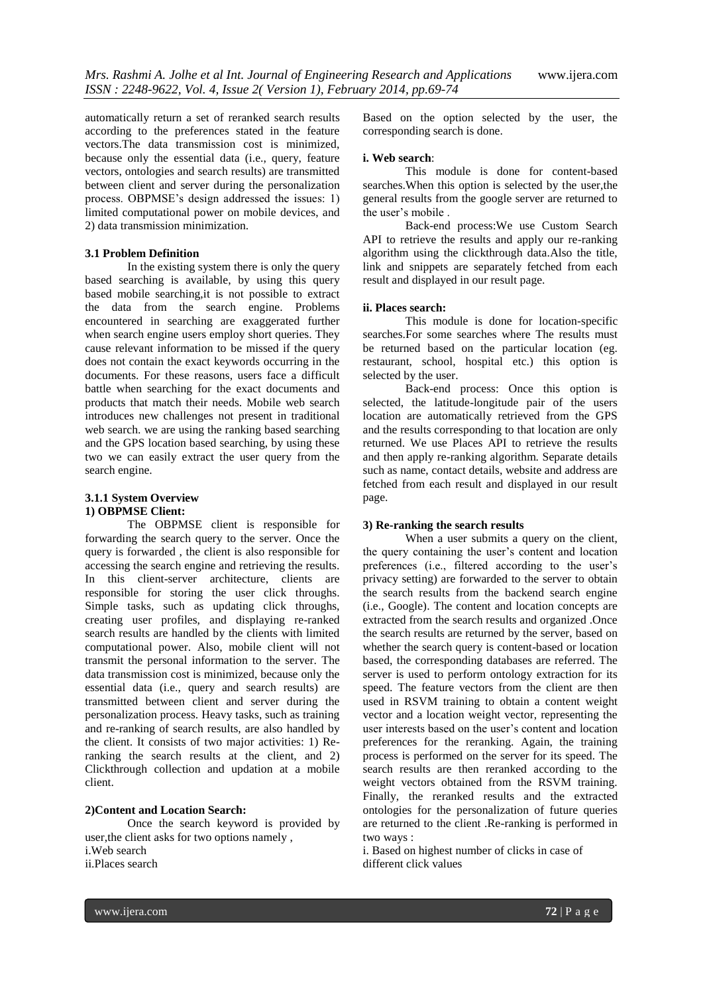automatically return a set of reranked search results according to the preferences stated in the feature vectors.The data transmission cost is minimized, because only the essential data (i.e., query, feature vectors, ontologies and search results) are transmitted between client and server during the personalization process. OBPMSE"s design addressed the issues: 1) limited computational power on mobile devices, and 2) data transmission minimization.

## **3.1 Problem Definition**

In the existing system there is only the query based searching is available, by using this query based mobile searching,it is not possible to extract the data from the search engine. Problems encountered in searching are exaggerated further when search engine users employ short queries. They cause relevant information to be missed if the query does not contain the exact keywords occurring in the documents. For these reasons, users face a difficult battle when searching for the exact documents and products that match their needs. Mobile web search introduces new challenges not present in traditional web search. we are using the ranking based searching and the GPS location based searching, by using these two we can easily extract the user query from the search engine.

# **3.1.1 System Overview 1) OBPMSE Client:**

The OBPMSE client is responsible for forwarding the search query to the server. Once the query is forwarded , the client is also responsible for accessing the search engine and retrieving the results. In this client-server architecture, clients are responsible for storing the user click throughs. Simple tasks, such as updating click throughs, creating user profiles, and displaying re-ranked search results are handled by the clients with limited computational power. Also, mobile client will not transmit the personal information to the server. The data transmission cost is minimized, because only the essential data (i.e., query and search results) are transmitted between client and server during the personalization process. Heavy tasks, such as training and re-ranking of search results, are also handled by the client. It consists of two major activities: 1) Reranking the search results at the client, and 2) Clickthrough collection and updation at a mobile client.

#### **2)Content and Location Search:**

Once the search keyword is provided by user,the client asks for two options namely , i.Web search

ii.Places search

Based on the option selected by the user, the corresponding search is done.

#### **i. Web search**:

This module is done for content-based searches.When this option is selected by the user,the general results from the google server are returned to the user's mobile.

Back-end process:We use Custom Search API to retrieve the results and apply our re-ranking algorithm using the clickthrough data.Also the title, link and snippets are separately fetched from each result and displayed in our result page.

#### **ii. Places search:**

This module is done for location-specific searches.For some searches where The results must be returned based on the particular location (eg. restaurant, school, hospital etc.) this option is selected by the user.

Back-end process: Once this option is selected, the latitude-longitude pair of the users location are automatically retrieved from the GPS and the results corresponding to that location are only returned. We use Places API to retrieve the results and then apply re-ranking algorithm. Separate details such as name, contact details, website and address are fetched from each result and displayed in our result page.

#### **3) Re-ranking the search results**

When a user submits a query on the client, the query containing the user"s content and location preferences (i.e., filtered according to the user's privacy setting) are forwarded to the server to obtain the search results from the backend search engine (i.e., Google). The content and location concepts are extracted from the search results and organized .Once the search results are returned by the server, based on whether the search query is content-based or location based, the corresponding databases are referred. The server is used to perform ontology extraction for its speed. The feature vectors from the client are then used in RSVM training to obtain a content weight vector and a location weight vector, representing the user interests based on the user"s content and location preferences for the reranking. Again, the training process is performed on the server for its speed. The search results are then reranked according to the weight vectors obtained from the RSVM training. Finally, the reranked results and the extracted ontologies for the personalization of future queries are returned to the client .Re-ranking is performed in two ways :

i. Based on highest number of clicks in case of different click values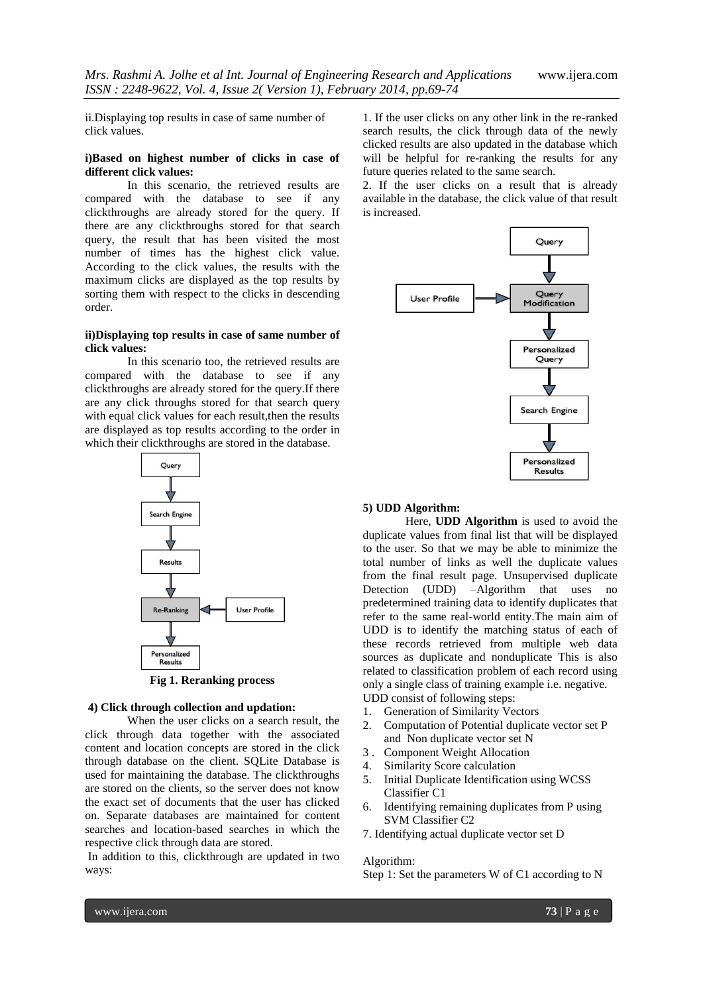ii.Displaying top results in case of same number of click values.

# **i)Based on highest number of clicks in case of different click values:**

In this scenario, the retrieved results are compared with the database to see if any clickthroughs are already stored for the query. If there are any clickthroughs stored for that search query, the result that has been visited the most number of times has the highest click value. According to the click values, the results with the maximum clicks are displayed as the top results by sorting them with respect to the clicks in descending order.

#### **ii)Displaying top results in case of same number of click values:**

In this scenario too, the retrieved results are compared with the database to see if any clickthroughs are already stored for the query.If there are any click throughs stored for that search query with equal click values for each result, then the results are displayed as top results according to the order in which their clickthroughs are stored in the database.



# **Fig 1. Reranking process**

#### **4) Click through collection and updation:**

When the user clicks on a search result, the click through data together with the associated content and location concepts are stored in the click through database on the client. SQLite Database is used for maintaining the database. The clickthroughs are stored on the clients, so the server does not know the exact set of documents that the user has clicked on. Separate databases are maintained for content searches and location-based searches in which the respective click through data are stored.

In addition to this, clickthrough are updated in two ways:

1. If the user clicks on any other link in the re-ranked search results, the click through data of the newly clicked results are also updated in the database which will be helpful for re-ranking the results for any future queries related to the same search.

2. If the user clicks on a result that is already available in the database, the click value of that result is increased.



# **5) UDD Algorithm:**

Here, **UDD Algorithm** is used to avoid the duplicate values from final list that will be displayed to the user. So that we may be able to minimize the total number of links as well the duplicate values from the final result page. Unsupervised duplicate Detection (UDD) –Algorithm that uses no predetermined training data to identify duplicates that refer to the same real-world entity.The main aim of UDD is to identify the matching status of each of these records retrieved from multiple web data sources as duplicate and nonduplicate This is also related to classification problem of each record using only a single class of training example i.e. negative. UDD consist of following steps:

- 1. Generation of Similarity Vectors
- 2. Computation of Potential duplicate vector set P and Non duplicate vector set N
- 3 . Component Weight Allocation
- 4. Similarity Score calculation
- 5. Initial Duplicate Identification using WCSS Classifier C1
- 6. Identifying remaining duplicates from P using SVM Classifier C2
- 7. Identifying actual duplicate vector set D

#### Algorithm:

Step 1: Set the parameters W of C1 according to N